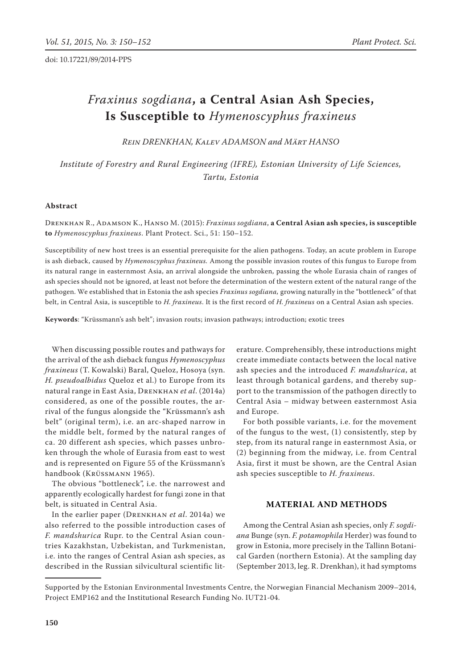doi: 10.17221/89/2014-PPS

# *Fraxinus sogdiana***, a Central Asian Ash Species, Is Susceptible to** *Hymenoscyphus fraxineus*

*Rein DRENKHAN, Kalev ADAMSON and Märt HANSO*

*Institute of Forestry and Rural Engineering (IFRE), Estonian University of Life Sciences, Tartu, Estonia*

## **Abstract**

Drenkhan R., Adamson K., Hanso M. (2015): *Fraxinus sogdiana*, **a Central Asian ash species, is susceptible to** *Hymenoscyphus fraxineus*. Plant Protect. Sci., 51: 150–152.

Susceptibility of new host trees is an essential prerequisite for the alien pathogens. Today, an acute problem in Europe is ash dieback, caused by *Hymenoscyphus fraxineus.* Among the possible invasion routes of this fungus to Europe from its natural range in easternmost Asia, an arrival alongside the unbroken, passing the whole Eurasia chain of ranges of ash species should not be ignored, at least not before the determination of the western extent of the natural range of the pathogen. We established that in Estonia the ash species *Fraxinus sogdiana,* growing naturally in the "bottleneck" of that belt, in Central Asia, is susceptible to *H. fraxineus*. It is the first record of *H. fraxineus* on a Central Asian ash species.

**Keywords**: "Krüssmann's ash belt"; invasion routs; invasion pathways; introduction; exotic trees

When discussing possible routes and pathways for the arrival of the ash dieback fungus *Hymenoscyphus fraxineus* (T. Kowalski) Baral, Queloz, Hosoya (syn. *H. pseudoalbidus* Queloz et al.) to Europe from its natural range in East Asia, Drenkhan *et al*. (2014a) considered, as one of the possible routes, the arrival of the fungus alongside the "Krüssmann's ash belt" (original term), i.e. an arc-shaped narrow in the middle belt, formed by the natural ranges of ca. 20 different ash species, which passes unbroken through the whole of Eurasia from east to west and is represented on Figure 55 of the Krüssmann's handbook (Krüssmann 1965).

The obvious "bottleneck", i.e. the narrowest and apparently ecologically hardest for fungi zone in that belt, is situated in Central Asia.

In the earlier paper (Drenkhan *et al*. 2014a) we also referred to the possible introduction cases of *F. mandshurica* Rupr. to the Central Asian countries Kazakhstan, Uzbekistan, and Turkmenistan, i.e. into the ranges of Central Asian ash species, as described in the Russian silvicultural scientific lit-

erature. Comprehensibly, these introductions might create immediate contacts between the local native ash species and the introduced *F. mandshurica*, at least through botanical gardens, and thereby support to the transmission of the pathogen directly to Central Asia – midway between easternmost Asia and Europe.

For both possible variants, i.e. for the movement of the fungus to the west, (1) consistently, step by step, from its natural range in easternmost Asia, or (2) beginning from the midway, i.e. from Central Asia, first it must be shown, are the Central Asian ash species susceptible to *H. fraxineus*.

## **MATERIAL AND METHODS**

Among the Central Asian ash species, only *F. sogdiana* Bunge (syn. *F. potamophila* Herder) was found to grow in Estonia, more precisely in the Tallinn Botanical Garden (northern Estonia). At the sampling day (September 2013, leg. R. Drenkhan), it had symptoms

Supported by the Estonian Environmental Investments Centre, the Norwegian Financial Mechanism 2009–2014, Project EMP162 and the Institutional Research Funding No. IUT21-04.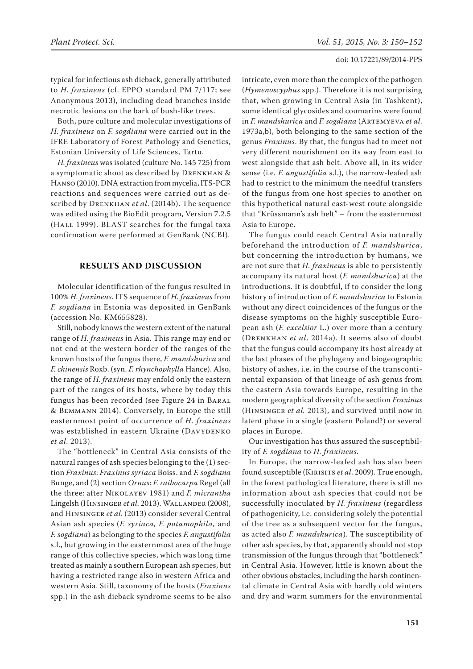#### doi: 10.17221/89/2014-PPS

typical for infectious ash dieback, generally attributed to *H. fraxineus* (cf. EPPO standard PM 7/117; see Anonymous 2013), including dead branches inside necrotic lesions on the bark of bush-like trees.

Both, pure culture and molecular investigations of *H. fraxineus* on *F. sogdiana* were carried out in the IFRE Laboratory of Forest Pathology and Genetics, Estonian University of Life Sciences, Tartu.

*H. fraxineus* was isolated (culture No. 145 725) from a symptomatic shoot as described by Drenkhan & Hanso (2010). DNA extraction from mycelia, ITS-PCR reactions and sequences were carried out as described by Drenkhan *et al*. (2014b). The sequence was edited using the BioEdit program, Version 7.2.5 (HALL 1999). BLAST searches for the fungal taxa confirmation were performed at GenBank (NCBI).

## **RESULTS AND DISCUSSION**

Molecular identification of the fungus resulted in 100% *H. fraxineus.* ITS sequence of *H. fraxineus* from *F. sogdiana* in Estonia was deposited in GenBank (accession No. KM655828).

Still, nobody knows the western extent of the natural range of *H. fraxineus* in Asia. This range may end or not end at the western border of the ranges of the known hosts of the fungus there, *F. mandshurica* and *F. chinensis* Roxb. (syn. *F. rhynchophylla* Hance). Also, the range of *H. fraxineus* may enfold only the eastern part of the ranges of its hosts, where by today this fungus has been recorded (see Figure 24 in Baral & Bemmann 2014). Conversely, in Europe the still easternmost point of occurrence of *H. fraxineus* was established in eastern Ukraine (DAVYDENKO *et al*. 2013).

The "bottleneck" in Central Asia consists of the natural ranges of ash species belonging to the (1) section *Fraxinus*: *Fraxinus syriaca* Boiss. and *F. sogdiana* Bunge, and (2) section *Ornus*: *F. raibocarpa* Regel (all the three: after Nikolayev 1981) and *F. micrantha* Lingelsh (Hinsinger *et al*. 2013). Wallander (2008), and Hinsinger *et al*. (2013) consider several Central Asian ash species (*F. syriaca, F. potamophila,* and *F. sogdiana*) as belonging to the species *F. angustifolia*  s.l., but growing in the easternmost area of the huge range of this collective species, which was long time treated as mainly a southern European ash species, but having a restricted range also in western Africa and western Asia. Still, taxonomy of the hosts (*Fraxinus* spp.) in the ash dieback syndrome seems to be also

intricate, even more than the complex of the pathogen (*Hymenoscyphus* spp.). Therefore it is not surprising that, when growing in Central Asia (in Tashkent), some identical glycosides and coumarins were found in *F. mandshurica* and *F. sogdiana* (Artemyeva *et al*. 1973a,b), both belonging to the same section of the genus *Fraxinus*. By that, the fungus had to meet not very different nourishment on its way from east to west alongside that ash belt. Above all, in its wider sense (i.e*. F. angustifolia* s.l.), the narrow-leafed ash had to restrict to the minimum the needful transfers of the fungus from one host species to another on this hypothetical natural east-west route alongside that "Krüssmann's ash belt" – from the easternmost Asia to Europe.

The fungus could reach Central Asia naturally beforehand the introduction of *F. mandshurica*, but concerning the introduction by humans, we are not sure that *H. fraxineus* is able to persistently accompany its natural host (*F. mandshurica*) at the introductions. It is doubtful, if to consider the long history of introduction of *F. mandshurica* to Estonia without any direct coincidences of the fungus or the disease symptoms on the highly susceptible European ash (*F. excelsior* L.) over more than a century (Drenkhan *et al*. 2014a). It seems also of doubt that the fungus could accompany its host already at the last phases of the phylogeny and biogeographic history of ashes, i.e. in the course of the transcontinental expansion of that lineage of ash genus from the eastern Asia towards Europe, resulting in the modern geographical diversity of the section *Fraxinus* (Hinsinger *et al.* 2013), and survived until now in latent phase in a single (eastern Poland?) or several places in Europe.

Our investigation has thus assured the susceptibility of *F. sogdiana* to *H. fraxineus.*

In Europe, the narrow-leafed ash has also been found susceptible (Kirisits *et al*. 2009). True enough, in the forest pathological literature, there is still no information about ash species that could not be successfully inoculated by *H. fraxineus* (regardless of pathogenicity, i.e. considering solely the potential of the tree as a subsequent vector for the fungus, as acted also *F. mandshurica*). The susceptibility of other ash species, by that, apparently should not stop transmission of the fungus through that "bottleneck" in Central Asia. However, little is known about the other obvious obstacles, including the harsh continental climate in Central Asia with hardly cold winters and dry and warm summers for the environmental